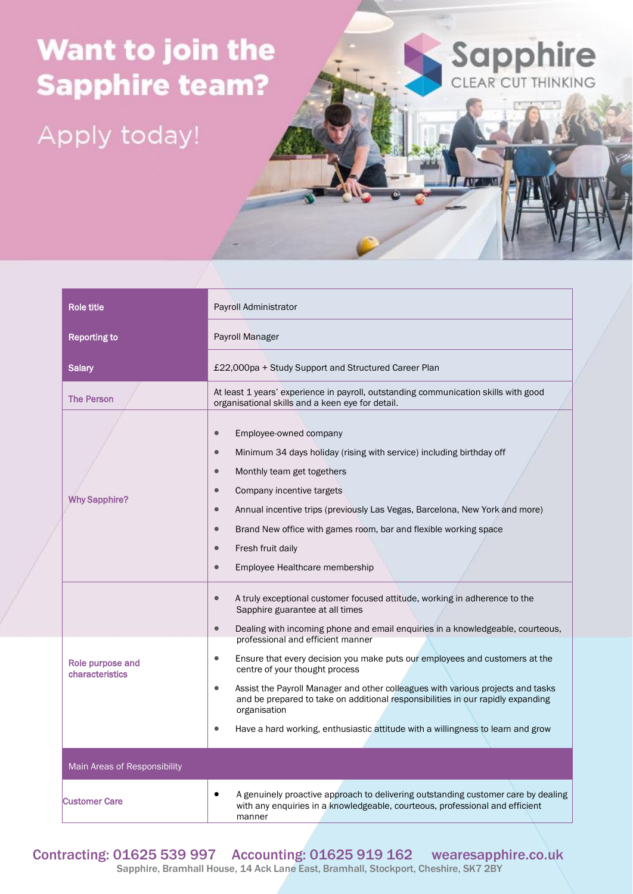## Want to join the **Sapphire team?**

Apply today!

| Role title                          | Payroll Administrator                                                                                                                                                                                                                                                                                                                                                                                                                                                       |
|-------------------------------------|-----------------------------------------------------------------------------------------------------------------------------------------------------------------------------------------------------------------------------------------------------------------------------------------------------------------------------------------------------------------------------------------------------------------------------------------------------------------------------|
| <b>Reporting to</b>                 | Payroll Manager                                                                                                                                                                                                                                                                                                                                                                                                                                                             |
| <b>Salary</b>                       | £22,000pa + Study Support and Structured Career Plan                                                                                                                                                                                                                                                                                                                                                                                                                        |
| <b>The Person</b>                   | At least 1 years' experience in payroll, outstanding communication skills with good<br>organisational skills and a keen eye for detail.                                                                                                                                                                                                                                                                                                                                     |
| <b>Why Sapphire?</b>                | Employee-owned company<br>$\bullet$<br>Minimum 34 days holiday (rising with service) including birthday off<br>$\bullet$<br>Monthly team get togethers<br>$\bullet$<br>Company incentive targets<br>$\bullet$<br>Annual incentive trips (previously Las Vegas, Barcelona, New York and more)<br>$\bullet$<br>Brand New office with games room, bar and flexible working space<br>$\bullet$<br>Fresh fruit daily<br>$\bullet$<br>Employee Healthcare membership<br>$\bullet$ |
|                                     | A truly exceptional customer focused attitude, working in adherence to the<br>$\bullet$<br>Sapphire guarantee at all times<br>Dealing with incoming phone and email enquiries in a knowledgeable, courteous,<br>$\bullet$<br>professional and efficient manner                                                                                                                                                                                                              |
| Role purpose and<br>characteristics | Ensure that every decision you make puts our employees and customers at the<br>$\bullet$<br>centre of your thought process<br>Assist the Payroll Manager and other colleagues with various projects and tasks<br>$\bullet$<br>and be prepared to take on additional responsibilities in our rapidly expanding<br>organisation<br>Have a hard working, enthusiastic attitude with a willingness to learn and grow<br>٠                                                       |
| Main Areas of Responsibility        |                                                                                                                                                                                                                                                                                                                                                                                                                                                                             |
| <b>Customer Care</b>                | A genuinely proactive approach to delivering outstanding customer care by dealing<br>with any enquiries in a knowledgeable, courteous, professional and efficient<br>manner                                                                                                                                                                                                                                                                                                 |

Sapphire

I AVE USAN

Contracting: 01625 539 997 Accounting: 01625 919 162 wearesapphire.co.uk

Sapphire, Bramhall House, 14 Ack Lane East, Bramhall, Stockport, Cheshire, SK7 2BY